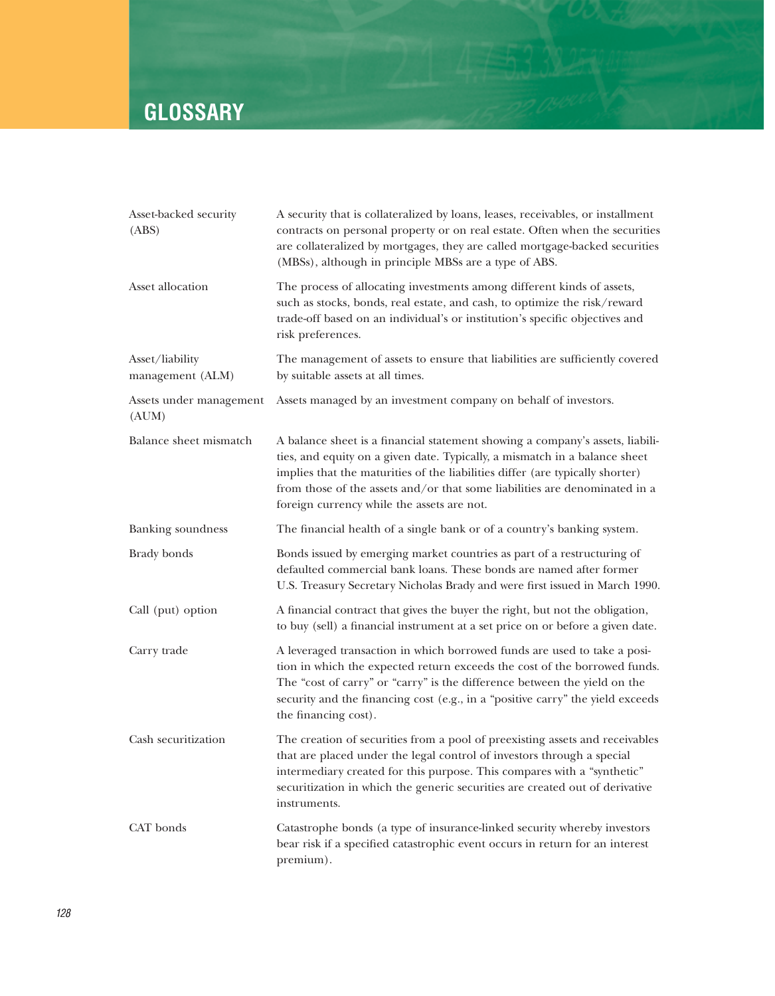## **GLOSSARY**

| Asset-backed security<br>(ABS)      | A security that is collateralized by loans, leases, receivables, or installment<br>contracts on personal property or on real estate. Often when the securities<br>are collateralized by mortgages, they are called mortgage-backed securities<br>(MBSs), although in principle MBSs are a type of ABS.                                                                   |
|-------------------------------------|--------------------------------------------------------------------------------------------------------------------------------------------------------------------------------------------------------------------------------------------------------------------------------------------------------------------------------------------------------------------------|
| Asset allocation                    | The process of allocating investments among different kinds of assets,<br>such as stocks, bonds, real estate, and cash, to optimize the risk/reward<br>trade-off based on an individual's or institution's specific objectives and<br>risk preferences.                                                                                                                  |
| Asset/liability<br>management (ALM) | The management of assets to ensure that liabilities are sufficiently covered<br>by suitable assets at all times.                                                                                                                                                                                                                                                         |
| Assets under management<br>(AUM)    | Assets managed by an investment company on behalf of investors.                                                                                                                                                                                                                                                                                                          |
| Balance sheet mismatch              | A balance sheet is a financial statement showing a company's assets, liabili-<br>ties, and equity on a given date. Typically, a mismatch in a balance sheet<br>implies that the maturities of the liabilities differ (are typically shorter)<br>from those of the assets and/or that some liabilities are denominated in a<br>foreign currency while the assets are not. |
| <b>Banking soundness</b>            | The financial health of a single bank or of a country's banking system.                                                                                                                                                                                                                                                                                                  |
| <b>Brady</b> bonds                  | Bonds issued by emerging market countries as part of a restructuring of<br>defaulted commercial bank loans. These bonds are named after former<br>U.S. Treasury Secretary Nicholas Brady and were first issued in March 1990.                                                                                                                                            |
| Call (put) option                   | A financial contract that gives the buyer the right, but not the obligation,<br>to buy (sell) a financial instrument at a set price on or before a given date.                                                                                                                                                                                                           |
| Carry trade                         | A leveraged transaction in which borrowed funds are used to take a posi-<br>tion in which the expected return exceeds the cost of the borrowed funds.<br>The "cost of carry" or "carry" is the difference between the yield on the<br>security and the financing cost (e.g., in a "positive carry" the yield exceeds<br>the financing cost).                             |
| Cash securitization                 | The creation of securities from a pool of preexisting assets and receivables<br>that are placed under the legal control of investors through a special<br>intermediary created for this purpose. This compares with a "synthetic"<br>securitization in which the generic securities are created out of derivative<br>instruments.                                        |
| CAT bonds                           | Catastrophe bonds (a type of insurance-linked security whereby investors<br>bear risk if a specified catastrophic event occurs in return for an interest<br>premium).                                                                                                                                                                                                    |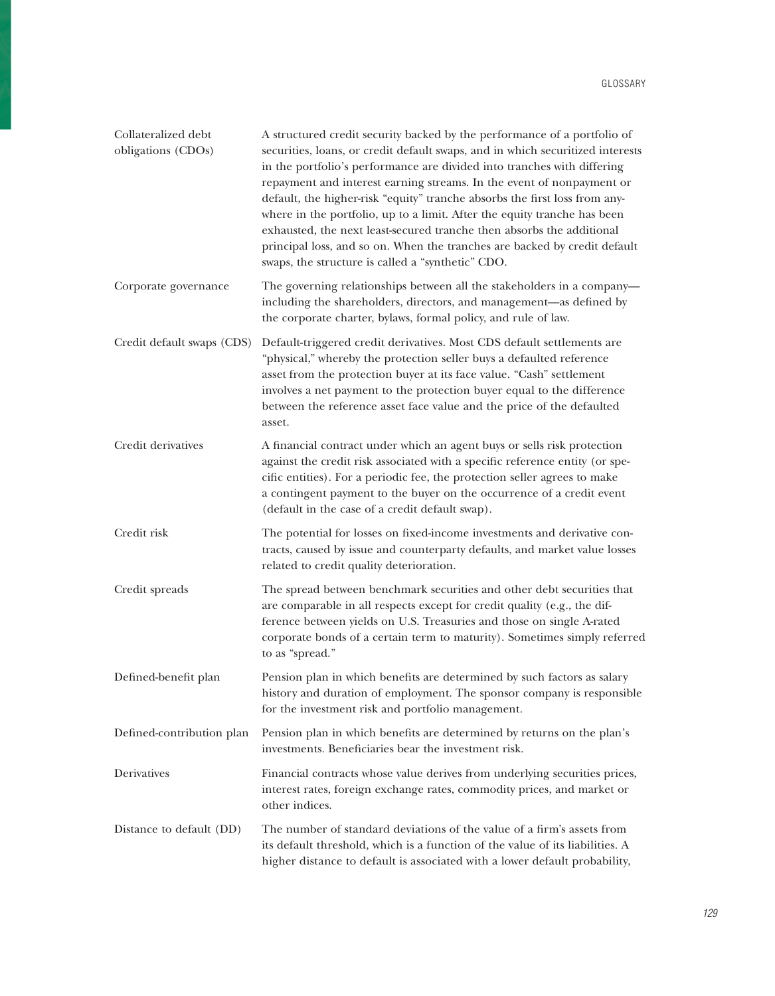| Collateralized debt<br>obligations (CDOs) | A structured credit security backed by the performance of a portfolio of<br>securities, loans, or credit default swaps, and in which securitized interests<br>in the portfolio's performance are divided into tranches with differing<br>repayment and interest earning streams. In the event of nonpayment or<br>default, the higher-risk "equity" tranche absorbs the first loss from any-<br>where in the portfolio, up to a limit. After the equity tranche has been<br>exhausted, the next least-secured tranche then absorbs the additional<br>principal loss, and so on. When the tranches are backed by credit default<br>swaps, the structure is called a "synthetic" CDO. |
|-------------------------------------------|-------------------------------------------------------------------------------------------------------------------------------------------------------------------------------------------------------------------------------------------------------------------------------------------------------------------------------------------------------------------------------------------------------------------------------------------------------------------------------------------------------------------------------------------------------------------------------------------------------------------------------------------------------------------------------------|
| Corporate governance                      | The governing relationships between all the stakeholders in a company-<br>including the shareholders, directors, and management-as defined by<br>the corporate charter, bylaws, formal policy, and rule of law.                                                                                                                                                                                                                                                                                                                                                                                                                                                                     |
| Credit default swaps (CDS)                | Default-triggered credit derivatives. Most CDS default settlements are<br>"physical," whereby the protection seller buys a defaulted reference<br>asset from the protection buyer at its face value. "Cash" settlement<br>involves a net payment to the protection buyer equal to the difference<br>between the reference asset face value and the price of the defaulted<br>asset.                                                                                                                                                                                                                                                                                                 |
| Credit derivatives                        | A financial contract under which an agent buys or sells risk protection<br>against the credit risk associated with a specific reference entity (or spe-<br>cific entities). For a periodic fee, the protection seller agrees to make<br>a contingent payment to the buyer on the occurrence of a credit event<br>(default in the case of a credit default swap).                                                                                                                                                                                                                                                                                                                    |
| Credit risk                               | The potential for losses on fixed-income investments and derivative con-<br>tracts, caused by issue and counterparty defaults, and market value losses<br>related to credit quality deterioration.                                                                                                                                                                                                                                                                                                                                                                                                                                                                                  |
| Credit spreads                            | The spread between benchmark securities and other debt securities that<br>are comparable in all respects except for credit quality (e.g., the dif-<br>ference between yields on U.S. Treasuries and those on single A-rated<br>corporate bonds of a certain term to maturity). Sometimes simply referred<br>to as "spread."                                                                                                                                                                                                                                                                                                                                                         |
| Defined-benefit plan                      | Pension plan in which benefits are determined by such factors as salary<br>history and duration of employment. The sponsor company is responsible<br>for the investment risk and portfolio management.                                                                                                                                                                                                                                                                                                                                                                                                                                                                              |
| Defined-contribution plan                 | Pension plan in which benefits are determined by returns on the plan's<br>investments. Beneficiaries bear the investment risk.                                                                                                                                                                                                                                                                                                                                                                                                                                                                                                                                                      |
| Derivatives                               | Financial contracts whose value derives from underlying securities prices,<br>interest rates, foreign exchange rates, commodity prices, and market or<br>other indices.                                                                                                                                                                                                                                                                                                                                                                                                                                                                                                             |
| Distance to default (DD)                  | The number of standard deviations of the value of a firm's assets from<br>its default threshold, which is a function of the value of its liabilities. A<br>higher distance to default is associated with a lower default probability,                                                                                                                                                                                                                                                                                                                                                                                                                                               |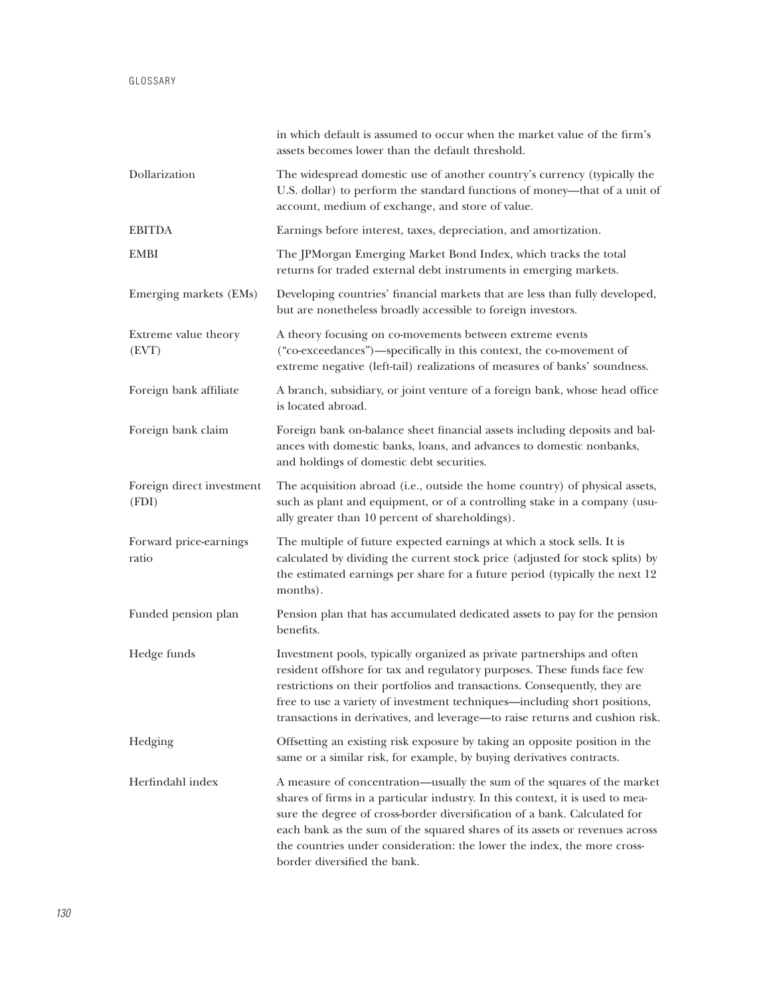|                                    | in which default is assumed to occur when the market value of the firm's<br>assets becomes lower than the default threshold.                                                                                                                                                                                                                                                                                                    |
|------------------------------------|---------------------------------------------------------------------------------------------------------------------------------------------------------------------------------------------------------------------------------------------------------------------------------------------------------------------------------------------------------------------------------------------------------------------------------|
| Dollarization                      | The widespread domestic use of another country's currency (typically the<br>U.S. dollar) to perform the standard functions of money—that of a unit of<br>account, medium of exchange, and store of value.                                                                                                                                                                                                                       |
| <b>EBITDA</b>                      | Earnings before interest, taxes, depreciation, and amortization.                                                                                                                                                                                                                                                                                                                                                                |
| <b>EMBI</b>                        | The JPMorgan Emerging Market Bond Index, which tracks the total<br>returns for traded external debt instruments in emerging markets.                                                                                                                                                                                                                                                                                            |
| Emerging markets (EMs)             | Developing countries' financial markets that are less than fully developed,<br>but are nonetheless broadly accessible to foreign investors.                                                                                                                                                                                                                                                                                     |
| Extreme value theory<br>(EVT)      | A theory focusing on co-movements between extreme events<br>("co-exceedances")—specifically in this context, the co-movement of<br>extreme negative (left-tail) realizations of measures of banks' soundness.                                                                                                                                                                                                                   |
| Foreign bank affiliate             | A branch, subsidiary, or joint venture of a foreign bank, whose head office<br>is located abroad.                                                                                                                                                                                                                                                                                                                               |
| Foreign bank claim                 | Foreign bank on-balance sheet financial assets including deposits and bal-<br>ances with domestic banks, loans, and advances to domestic nonbanks,<br>and holdings of domestic debt securities.                                                                                                                                                                                                                                 |
| Foreign direct investment<br>(FDI) | The acquisition abroad (i.e., outside the home country) of physical assets,<br>such as plant and equipment, or of a controlling stake in a company (usu-<br>ally greater than 10 percent of shareholdings).                                                                                                                                                                                                                     |
| Forward price-earnings<br>ratio    | The multiple of future expected earnings at which a stock sells. It is<br>calculated by dividing the current stock price (adjusted for stock splits) by<br>the estimated earnings per share for a future period (typically the next 12<br>months).                                                                                                                                                                              |
| Funded pension plan                | Pension plan that has accumulated dedicated assets to pay for the pension<br>benefits.                                                                                                                                                                                                                                                                                                                                          |
| Hedge funds                        | Investment pools, typically organized as private partnerships and often<br>resident offshore for tax and regulatory purposes. These funds face few<br>restrictions on their portfolios and transactions. Consequently, they are<br>free to use a variety of investment techniques—including short positions,<br>transactions in derivatives, and leverage-to raise returns and cushion risk.                                    |
| Hedging                            | Offsetting an existing risk exposure by taking an opposite position in the<br>same or a similar risk, for example, by buying derivatives contracts.                                                                                                                                                                                                                                                                             |
| Herfindahl index                   | A measure of concentration—usually the sum of the squares of the market<br>shares of firms in a particular industry. In this context, it is used to mea-<br>sure the degree of cross-border diversification of a bank. Calculated for<br>each bank as the sum of the squared shares of its assets or revenues across<br>the countries under consideration: the lower the index, the more cross-<br>border diversified the bank. |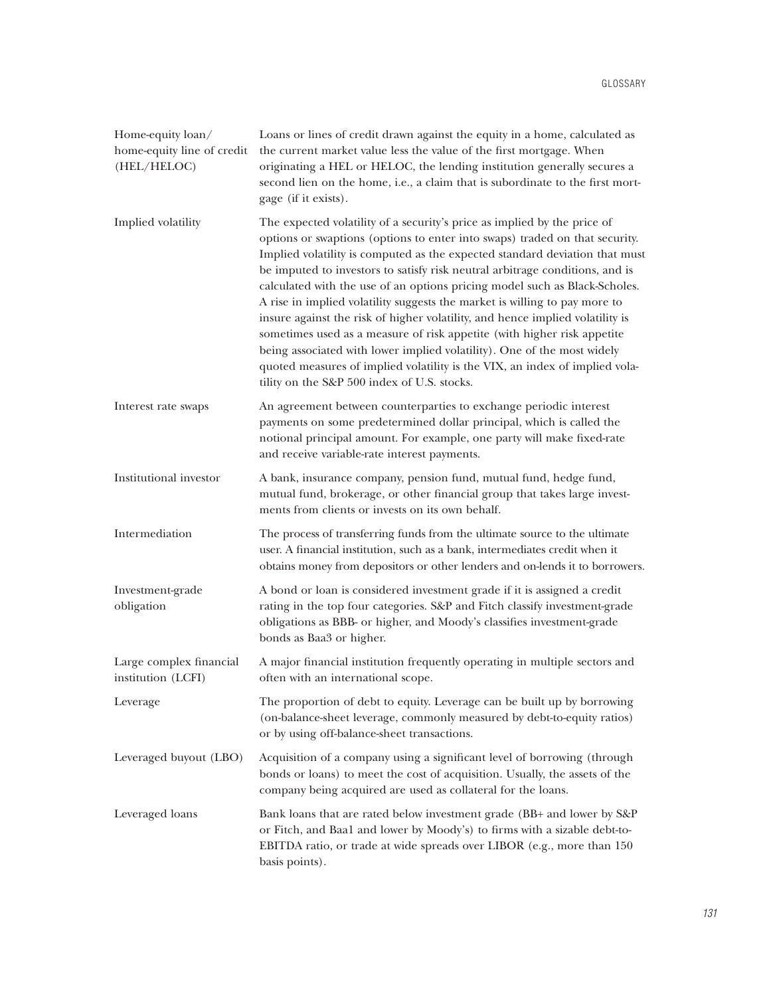| Home-equity loan/<br>home-equity line of credit<br>(HEL/HELOC) | Loans or lines of credit drawn against the equity in a home, calculated as<br>the current market value less the value of the first mortgage. When<br>originating a HEL or HELOC, the lending institution generally secures a<br>second lien on the home, i.e., a claim that is subordinate to the first mort-<br>gage (if it exists).                                                                                                                                                                                                                                                                                                                                                                                                                                                                                                                   |
|----------------------------------------------------------------|---------------------------------------------------------------------------------------------------------------------------------------------------------------------------------------------------------------------------------------------------------------------------------------------------------------------------------------------------------------------------------------------------------------------------------------------------------------------------------------------------------------------------------------------------------------------------------------------------------------------------------------------------------------------------------------------------------------------------------------------------------------------------------------------------------------------------------------------------------|
| Implied volatility                                             | The expected volatility of a security's price as implied by the price of<br>options or swaptions (options to enter into swaps) traded on that security.<br>Implied volatility is computed as the expected standard deviation that must<br>be imputed to investors to satisfy risk neutral arbitrage conditions, and is<br>calculated with the use of an options pricing model such as Black-Scholes.<br>A rise in implied volatility suggests the market is willing to pay more to<br>insure against the risk of higher volatility, and hence implied volatility is<br>sometimes used as a measure of risk appetite (with higher risk appetite<br>being associated with lower implied volatility). One of the most widely<br>quoted measures of implied volatility is the VIX, an index of implied vola-<br>tility on the S&P 500 index of U.S. stocks. |
| Interest rate swaps                                            | An agreement between counterparties to exchange periodic interest<br>payments on some predetermined dollar principal, which is called the<br>notional principal amount. For example, one party will make fixed-rate<br>and receive variable-rate interest payments.                                                                                                                                                                                                                                                                                                                                                                                                                                                                                                                                                                                     |
| Institutional investor                                         | A bank, insurance company, pension fund, mutual fund, hedge fund,<br>mutual fund, brokerage, or other financial group that takes large invest-<br>ments from clients or invests on its own behalf.                                                                                                                                                                                                                                                                                                                                                                                                                                                                                                                                                                                                                                                      |
| Intermediation                                                 | The process of transferring funds from the ultimate source to the ultimate<br>user. A financial institution, such as a bank, intermediates credit when it<br>obtains money from depositors or other lenders and on-lends it to borrowers.                                                                                                                                                                                                                                                                                                                                                                                                                                                                                                                                                                                                               |
| Investment-grade<br>obligation                                 | A bond or loan is considered investment grade if it is assigned a credit<br>rating in the top four categories. S&P and Fitch classify investment-grade<br>obligations as BBB- or higher, and Moody's classifies investment-grade<br>bonds as Baa3 or higher.                                                                                                                                                                                                                                                                                                                                                                                                                                                                                                                                                                                            |
| Large complex financial<br>institution (LCFI)                  | A major financial institution frequently operating in multiple sectors and<br>often with an international scope.                                                                                                                                                                                                                                                                                                                                                                                                                                                                                                                                                                                                                                                                                                                                        |
| Leverage                                                       | The proportion of debt to equity. Leverage can be built up by borrowing<br>(on-balance-sheet leverage, commonly measured by debt-to-equity ratios)<br>or by using off-balance-sheet transactions.                                                                                                                                                                                                                                                                                                                                                                                                                                                                                                                                                                                                                                                       |
| Leveraged buyout (LBO)                                         | Acquisition of a company using a significant level of borrowing (through<br>bonds or loans) to meet the cost of acquisition. Usually, the assets of the<br>company being acquired are used as collateral for the loans.                                                                                                                                                                                                                                                                                                                                                                                                                                                                                                                                                                                                                                 |
| Leveraged loans                                                | Bank loans that are rated below investment grade (BB+ and lower by S&P<br>or Fitch, and Baal and lower by Moody's) to firms with a sizable debt-to-<br>EBITDA ratio, or trade at wide spreads over LIBOR (e.g., more than 150<br>basis points).                                                                                                                                                                                                                                                                                                                                                                                                                                                                                                                                                                                                         |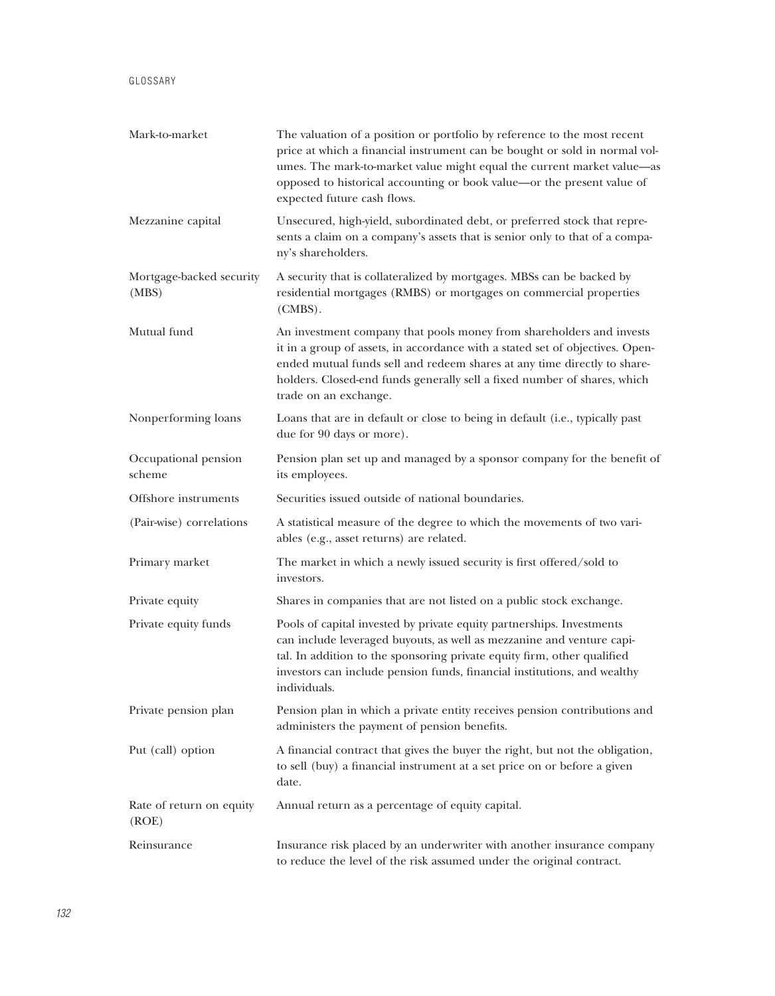GLOSSARY

| Mark-to-market                    | The valuation of a position or portfolio by reference to the most recent<br>price at which a financial instrument can be bought or sold in normal vol-<br>umes. The mark-to-market value might equal the current market value-as<br>opposed to historical accounting or book value-or the present value of<br>expected future cash flows. |
|-----------------------------------|-------------------------------------------------------------------------------------------------------------------------------------------------------------------------------------------------------------------------------------------------------------------------------------------------------------------------------------------|
| Mezzanine capital                 | Unsecured, high-yield, subordinated debt, or preferred stock that repre-<br>sents a claim on a company's assets that is senior only to that of a compa-<br>ny's shareholders.                                                                                                                                                             |
| Mortgage-backed security<br>(MBS) | A security that is collateralized by mortgages. MBSs can be backed by<br>residential mortgages (RMBS) or mortgages on commercial properties<br>$(CMBS)$ .                                                                                                                                                                                 |
| Mutual fund                       | An investment company that pools money from shareholders and invests<br>it in a group of assets, in accordance with a stated set of objectives. Open-<br>ended mutual funds sell and redeem shares at any time directly to share-<br>holders. Closed-end funds generally sell a fixed number of shares, which<br>trade on an exchange.    |
| Nonperforming loans               | Loans that are in default or close to being in default (i.e., typically past<br>due for 90 days or more).                                                                                                                                                                                                                                 |
| Occupational pension<br>scheme    | Pension plan set up and managed by a sponsor company for the benefit of<br>its employees.                                                                                                                                                                                                                                                 |
| Offshore instruments              | Securities issued outside of national boundaries.                                                                                                                                                                                                                                                                                         |
| (Pair-wise) correlations          | A statistical measure of the degree to which the movements of two vari-<br>ables (e.g., asset returns) are related.                                                                                                                                                                                                                       |
| Primary market                    | The market in which a newly issued security is first offered/sold to<br>investors.                                                                                                                                                                                                                                                        |
| Private equity                    | Shares in companies that are not listed on a public stock exchange.                                                                                                                                                                                                                                                                       |
| Private equity funds              | Pools of capital invested by private equity partnerships. Investments<br>can include leveraged buyouts, as well as mezzanine and venture capi-<br>tal. In addition to the sponsoring private equity firm, other qualified<br>investors can include pension funds, financial institutions, and wealthy<br>individuals.                     |
| Private pension plan              | Pension plan in which a private entity receives pension contributions and<br>administers the payment of pension benefits.                                                                                                                                                                                                                 |
| Put (call) option                 | A financial contract that gives the buyer the right, but not the obligation,<br>to sell (buy) a financial instrument at a set price on or before a given<br>date.                                                                                                                                                                         |
| Rate of return on equity<br>(ROE) | Annual return as a percentage of equity capital.                                                                                                                                                                                                                                                                                          |
| Reinsurance                       | Insurance risk placed by an underwriter with another insurance company<br>to reduce the level of the risk assumed under the original contract.                                                                                                                                                                                            |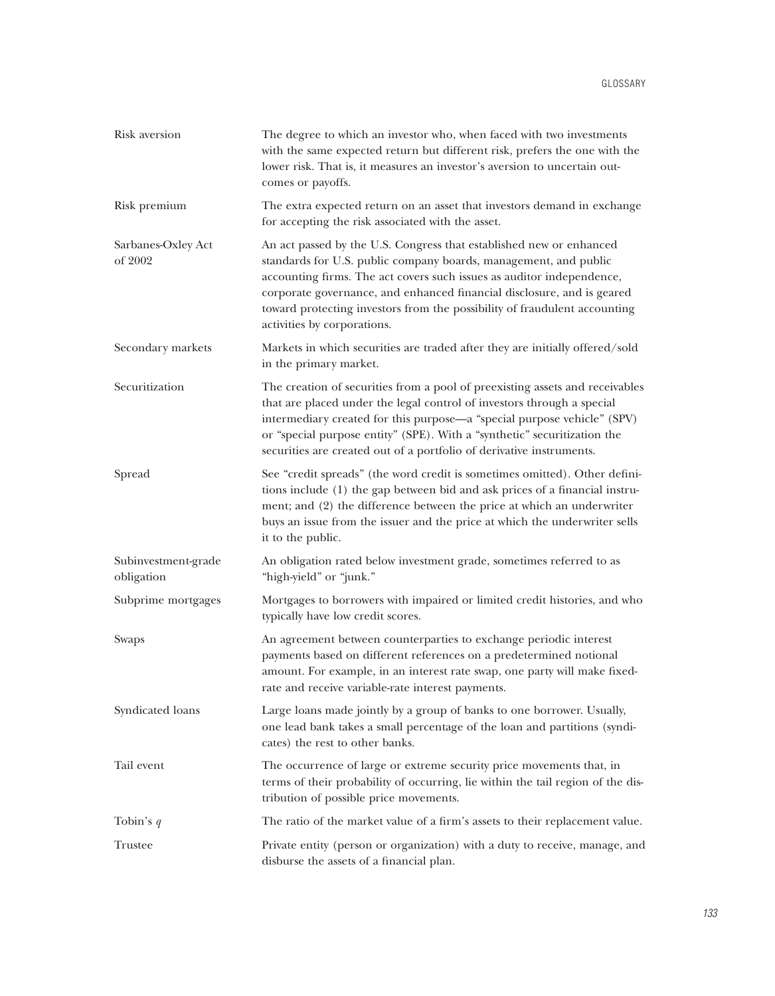| Risk aversion                     | The degree to which an investor who, when faced with two investments<br>with the same expected return but different risk, prefers the one with the<br>lower risk. That is, it measures an investor's aversion to uncertain out-<br>comes or payoffs.                                                                                                                                                   |
|-----------------------------------|--------------------------------------------------------------------------------------------------------------------------------------------------------------------------------------------------------------------------------------------------------------------------------------------------------------------------------------------------------------------------------------------------------|
| Risk premium                      | The extra expected return on an asset that investors demand in exchange<br>for accepting the risk associated with the asset.                                                                                                                                                                                                                                                                           |
| Sarbanes-Oxley Act<br>of 2002     | An act passed by the U.S. Congress that established new or enhanced<br>standards for U.S. public company boards, management, and public<br>accounting firms. The act covers such issues as auditor independence,<br>corporate governance, and enhanced financial disclosure, and is geared<br>toward protecting investors from the possibility of fraudulent accounting<br>activities by corporations. |
| Secondary markets                 | Markets in which securities are traded after they are initially offered/sold<br>in the primary market.                                                                                                                                                                                                                                                                                                 |
| Securitization                    | The creation of securities from a pool of preexisting assets and receivables<br>that are placed under the legal control of investors through a special<br>intermediary created for this purpose—a "special purpose vehicle" (SPV)<br>or "special purpose entity" (SPE). With a "synthetic" securitization the<br>securities are created out of a portfolio of derivative instruments.                  |
| Spread                            | See "credit spreads" (the word credit is sometimes omitted). Other defini-<br>tions include (1) the gap between bid and ask prices of a financial instru-<br>ment; and (2) the difference between the price at which an underwriter<br>buys an issue from the issuer and the price at which the underwriter sells<br>it to the public.                                                                 |
| Subinvestment-grade<br>obligation | An obligation rated below investment grade, sometimes referred to as<br>"high-yield" or "junk."                                                                                                                                                                                                                                                                                                        |
| Subprime mortgages                | Mortgages to borrowers with impaired or limited credit histories, and who<br>typically have low credit scores.                                                                                                                                                                                                                                                                                         |
| Swaps                             | An agreement between counterparties to exchange periodic interest<br>payments based on different references on a predetermined notional<br>amount. For example, in an interest rate swap, one party will make fixed-<br>rate and receive variable-rate interest payments.                                                                                                                              |
| Syndicated loans                  | Large loans made jointly by a group of banks to one borrower. Usually,<br>one lead bank takes a small percentage of the loan and partitions (syndi-<br>cates) the rest to other banks.                                                                                                                                                                                                                 |
| Tail event                        | The occurrence of large or extreme security price movements that, in<br>terms of their probability of occurring, lie within the tail region of the dis-<br>tribution of possible price movements.                                                                                                                                                                                                      |
| Tobin's $q$                       | The ratio of the market value of a firm's assets to their replacement value.                                                                                                                                                                                                                                                                                                                           |
| <b>Trustee</b>                    | Private entity (person or organization) with a duty to receive, manage, and<br>disburse the assets of a financial plan.                                                                                                                                                                                                                                                                                |